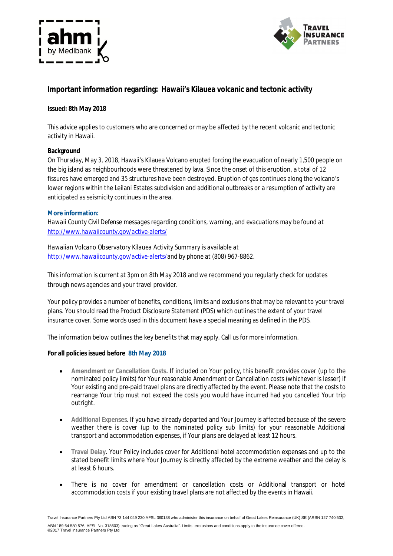



# **Important information regarding: Hawaii's Kilauea volcanic and tectonic activity**

## **Issued: 8th May 2018**

This advice applies to customers who are concerned or may be affected by the recent volcanic and tectonic activity in Hawaii.

### **Background**

On Thursday, May 3, 2018, Hawaii's Kilauea Volcano erupted forcing the evacuation of nearly 1,500 people on the big island as neighbourhoods were threatened by lava. Since the onset of this eruption, a total of 12 fissures have emerged and 35 structures have been destroyed. Eruption of gas continues along the volcano's lower regions within the Leilani Estates subdivision and additional outbreaks or a resumption of activity are anticipated as seismicity continues in the area.

### **More information:**

*Hawaii County Civil Defense messages regarding conditions, warning, and evacuations may be found at http://www.hawaiicounty.gov/active-alerts/*

*Hawaiian Volcano Observatory Kilauea Activity Summary is available at http://www.hawaiicounty.gov/active-alerts/and by phone at (808) 967-8862.*

This information is current at 3pm on 8th May 2018 and we recommend you regularly check for updates through news agencies and your travel provider.

Your policy provides a number of benefits, conditions, limits and exclusions that may be relevant to your travel plans. You should read the *Product Disclosure Statement* (PDS) which outlines the extent of your travel insurance cover. Some words used in this document have a special meaning as defined in the PDS.

The information below outlines the key benefits that may apply. Call us for more information.

### **For all policies issued before 8th May 2018**

- **Amendment or Cancellation Costs.** If included on Your policy, this benefit provides cover (up to the nominated policy limits) for Your reasonable Amendment or Cancellation costs (whichever is lesser) if Your existing and pre-paid travel plans are directly affected by the event. Please note that the costs to rearrange Your trip must not exceed the costs you would have incurred had you cancelled Your trip outright.
- **Additional Expenses**. If you have already departed and Your Journey is affected because of the severe weather there is cover (up to the nominated policy sub limits) for your reasonable Additional transport and accommodation expenses, if Your plans are delayed at least 12 hours.
- **Travel Delay**. Your Policy includes cover for Additional hotel accommodation expenses and up to the stated benefit limits where Your Journey is directly affected by the extreme weather and the delay is at least 6 hours.
- There is no cover for amendment or cancellation costs or Additional transport or hotel accommodation costs if your existing travel plans are not affected by the events in Hawaii.